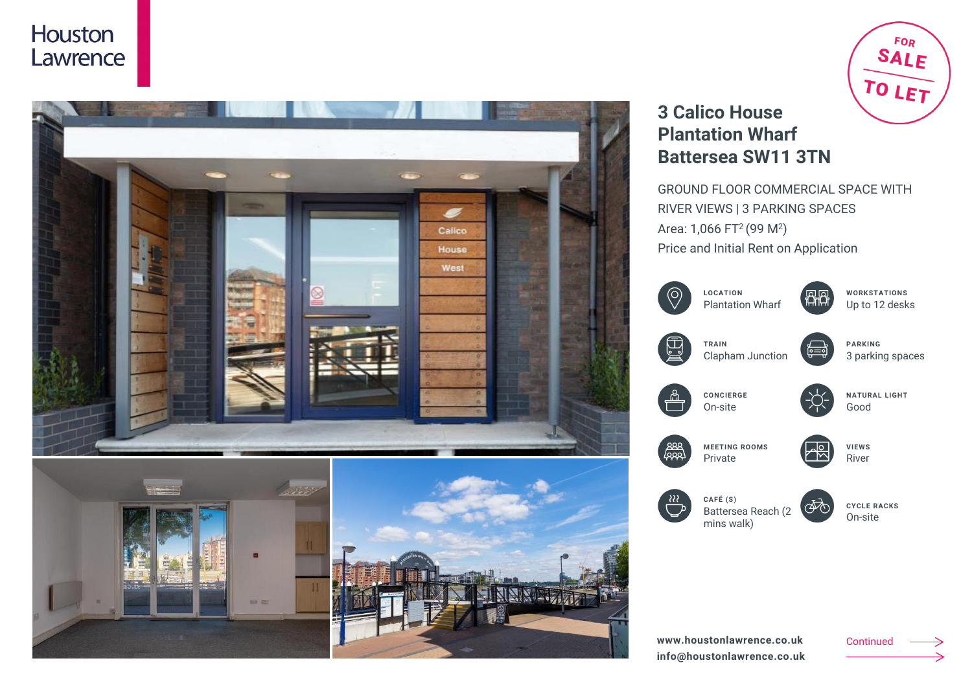



# **3 Calico House Plantation Wharf Battersea SW11 3TN**

GROUND FLOOR COMMERCIAL SPACE WITH RIVER VIEWS | 3 PARKING SPACES Area: 1,066 FT<sup>2</sup> (99 M<sup>2</sup>) Price and Initial Rent on Application

**图图** 

<u>— با</u>

(本)



**NATURAL LIGHT** Good

**PARKING**

**WORKSTATIONS** Up to 12 desks

3 parking spaces

**VIEWS** River



mins walk)

**CYCLE RACKS** On-site

Continued